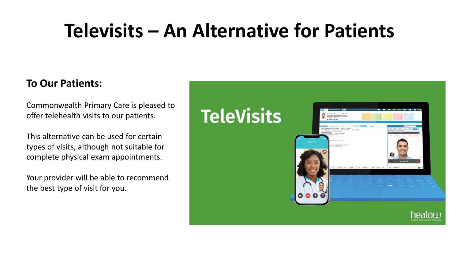# **Televisits – An Alternative for Patients**

#### **To Our Patients:**

Commonwealth Primary Care is pleased to offer telehealth visits to our patients.

This alternative can be used for certain types of visits, although not suitable for complete physical exam appointments.

Your provider will be able to recommend the best type of visit for you.

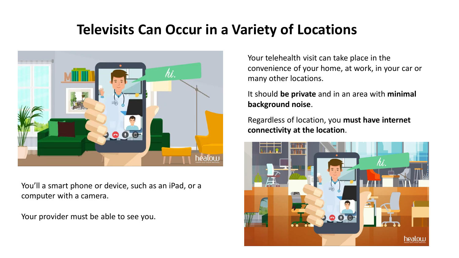#### **Televisits Can Occur in a Variety of Locations**



You'll a smart phone or device, such as an iPad, or a computer with a camera.

Your provider must be able to see you.

Your telehealth visit can take place in the convenience of your home, at work, in your car or many other locations.

It should **be private** and in an area with **minimal background noise**.

Regardless of location, you **must have internet connectivity at the location**.

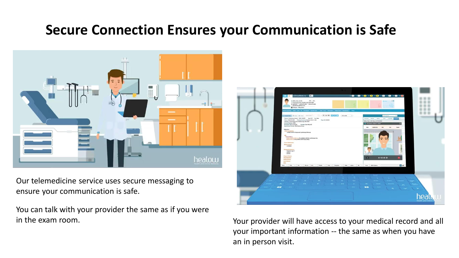## **Secure Connection Ensures your Communication is Safe**



Our telemedicine service uses secure messaging to ensure your communication is safe.

You can talk with your provider the same as if you were



in the exam room. Your provider will have access to your medical record and all your important information -- the same as when you have an in person visit.